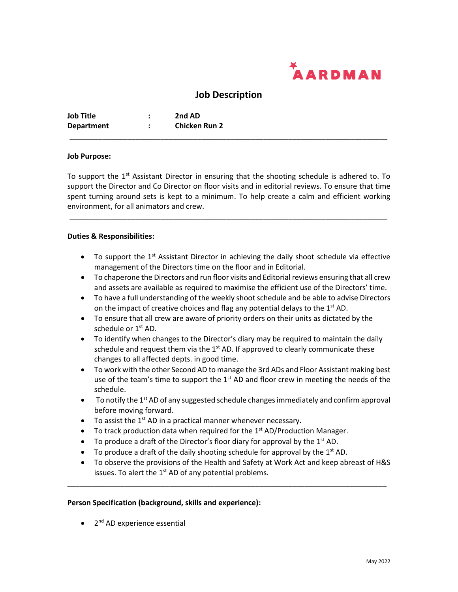

# **Job Description**

*\_\_\_\_\_\_\_\_\_\_\_\_\_\_\_\_\_\_\_\_\_\_\_\_\_\_\_\_\_\_\_\_\_\_\_\_\_\_\_\_\_\_\_\_\_\_\_\_\_\_\_\_\_\_\_\_\_\_\_\_\_\_\_\_\_\_\_\_\_\_\_\_\_\_\_\_\_*

| <b>Job Title</b>  | 2nd AD               |
|-------------------|----------------------|
| <b>Department</b> | <b>Chicken Run 2</b> |

#### **Job Purpose:**

To support the 1<sup>st</sup> Assistant Director in ensuring that the shooting schedule is adhered to. To support the Director and Co Director on floor visits and in editorial reviews. To ensure that time spent turning around sets is kept to a minimum. To help create a calm and efficient working environment, for all animators and crew.

*\_\_\_\_\_\_\_\_\_\_\_\_\_\_\_\_\_\_\_\_\_\_\_\_\_\_\_\_\_\_\_\_\_\_\_\_\_\_\_\_\_\_\_\_\_\_\_\_\_\_\_\_\_\_\_\_\_\_\_\_\_\_\_\_\_\_\_\_\_\_\_\_\_\_\_\_\_*

#### **Duties & Responsibilities:**

- $\bullet$  To support the 1<sup>st</sup> Assistant Director in achieving the daily shoot schedule via effective management of the Directors time on the floor and in Editorial.
- To chaperone the Directors and run floor visits and Editorial reviews ensuring that all crew and assets are available as required to maximise the efficient use of the Directors' time.
- To have a full understanding of the weekly shoot schedule and be able to advise Directors on the impact of creative choices and flag any potential delays to the 1<sup>st</sup> AD.
- To ensure that all crew are aware of priority orders on their units as dictated by the schedule or 1<sup>st</sup> AD.
- To identify when changes to the Director's diary may be required to maintain the daily schedule and request them via the  $1<sup>st</sup>$  AD. If approved to clearly communicate these changes to all affected depts. in good time.
- To work with the other Second AD to manage the 3rd ADs and Floor Assistant making best use of the team's time to support the  $1<sup>st</sup>$  AD and floor crew in meeting the needs of the schedule.
- $\bullet$  To notify the 1<sup>st</sup> AD of any suggested schedule changes immediately and confirm approval before moving forward.
- To assist the  $1<sup>st</sup>$  AD in a practical manner whenever necessary.
- To track production data when required for the 1<sup>st</sup> AD/Production Manager.
- $\bullet$  To produce a draft of the Director's floor diary for approval by the 1<sup>st</sup> AD.
- $\bullet$  To produce a draft of the daily shooting schedule for approval by the 1<sup>st</sup> AD.
- To observe the provisions of the Health and Safety at Work Act and keep abreast of H&S issues. To alert the 1<sup>st</sup> AD of any potential problems.

\_\_\_\_\_\_\_\_\_\_\_\_\_\_\_\_\_\_\_\_\_\_\_\_\_\_\_\_\_\_\_\_\_\_\_\_\_\_\_\_\_\_\_\_\_\_\_\_\_\_\_\_\_\_\_\_\_\_\_\_\_\_\_\_\_\_\_\_\_\_\_\_\_\_\_\_\_\_

### **Person Specification (background, skills and experience):**

• 2<sup>nd</sup> AD experience essential